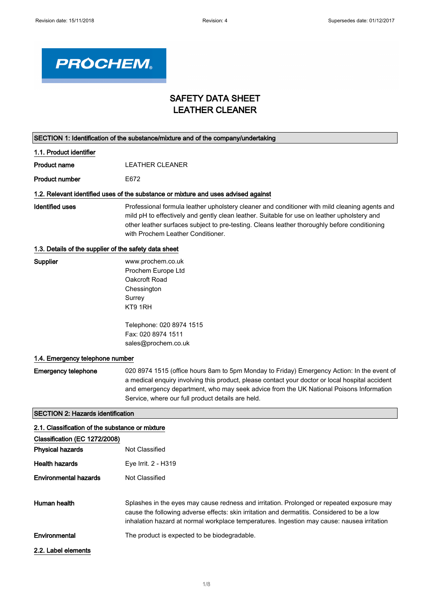

# SAFETY DATA SHEET LEATHER CLEANER

|                                                       | SECTION 1: Identification of the substance/mixture and of the company/undertaking                                                                                                                                                                                                                                                            |
|-------------------------------------------------------|----------------------------------------------------------------------------------------------------------------------------------------------------------------------------------------------------------------------------------------------------------------------------------------------------------------------------------------------|
| 1.1. Product identifier                               |                                                                                                                                                                                                                                                                                                                                              |
| <b>Product name</b>                                   | <b>LEATHER CLEANER</b>                                                                                                                                                                                                                                                                                                                       |
| <b>Product number</b>                                 | E672                                                                                                                                                                                                                                                                                                                                         |
|                                                       | 1.2. Relevant identified uses of the substance or mixture and uses advised against                                                                                                                                                                                                                                                           |
| <b>Identified uses</b>                                | Professional formula leather upholstery cleaner and conditioner with mild cleaning agents and<br>mild pH to effectively and gently clean leather. Suitable for use on leather upholstery and<br>other leather surfaces subject to pre-testing. Cleans leather thoroughly before conditioning<br>with Prochem Leather Conditioner.            |
| 1.3. Details of the supplier of the safety data sheet |                                                                                                                                                                                                                                                                                                                                              |
| Supplier                                              | www.prochem.co.uk<br>Prochem Europe Ltd<br>Oakcroft Road<br>Chessington<br>Surrey<br>KT9 1RH                                                                                                                                                                                                                                                 |
|                                                       | Telephone: 020 8974 1515<br>Fax: 020 8974 1511<br>sales@prochem.co.uk                                                                                                                                                                                                                                                                        |
| 1.4. Emergency telephone number                       |                                                                                                                                                                                                                                                                                                                                              |
| <b>Emergency telephone</b>                            | 020 8974 1515 (office hours 8am to 5pm Monday to Friday) Emergency Action: In the event of<br>a medical enquiry involving this product, please contact your doctor or local hospital accident<br>and emergency department, who may seek advice from the UK National Poisons Information<br>Service, where our full product details are held. |
| <b>SECTION 2: Hazards identification</b>              |                                                                                                                                                                                                                                                                                                                                              |
| 2.1. Classification of the substance or mixture       |                                                                                                                                                                                                                                                                                                                                              |
| Classification (EC 1272/2008)                         |                                                                                                                                                                                                                                                                                                                                              |
| <b>Physical hazards</b>                               | Not Classified                                                                                                                                                                                                                                                                                                                               |
| <b>Health hazards</b>                                 | Eye Irrit. 2 - H319                                                                                                                                                                                                                                                                                                                          |
| <b>Environmental hazards</b>                          | Not Classified                                                                                                                                                                                                                                                                                                                               |
| Human health                                          | Splashes in the eyes may cause redness and irritation. Prolonged or repeated exposure may<br>cause the following adverse effects: skin irritation and dermatitis. Considered to be a low<br>inhalation hazard at normal workplace temperatures. Ingestion may cause: nausea irritation                                                       |
| Environmental                                         | The product is expected to be biodegradable.                                                                                                                                                                                                                                                                                                 |
| 2.2. Label elements                                   |                                                                                                                                                                                                                                                                                                                                              |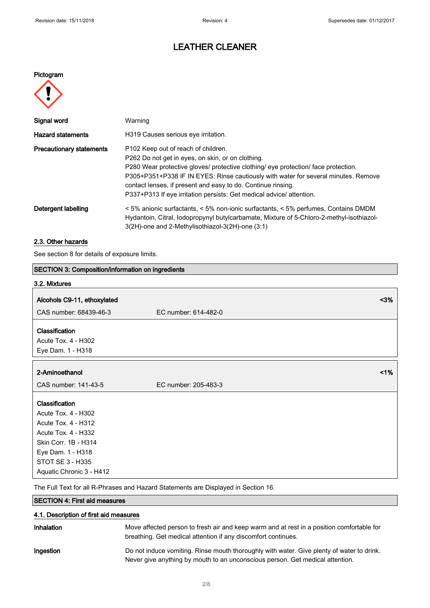# LEATHER CLEANER

### Pictogram



| Signal word                     | Warning                                                                                                                                                                                                                                                                                                                                                                                                     |
|---------------------------------|-------------------------------------------------------------------------------------------------------------------------------------------------------------------------------------------------------------------------------------------------------------------------------------------------------------------------------------------------------------------------------------------------------------|
| <b>Hazard statements</b>        | H319 Causes serious eye irritation.                                                                                                                                                                                                                                                                                                                                                                         |
| <b>Precautionary statements</b> | P102 Keep out of reach of children.<br>P262 Do not get in eyes, on skin, or on clothing.<br>P280 Wear protective gloves/ protective clothing/ eye protection/ face protection.<br>P305+P351+P338 IF IN EYES: Rinse cautiously with water for several minutes. Remove<br>contact lenses, if present and easy to do. Continue rinsing.<br>P337+P313 If eye irritation persists: Get medical advice/attention. |
| Detergent labelling             | < 5% anionic surfactants, < 5% non-ionic surfactants, < 5% perfumes, Contains DMDM<br>Hydantoin, Citral, lodopropynyl butylcarbamate, Mixture of 5-Chloro-2-methyl-isothiazol-<br>3(2H)-one and 2-Methylisothiazol-3(2H)-one (3:1)                                                                                                                                                                          |

## 2.3. Other hazards

See section 8 for details of exposure limits.

| <b>SECTION 3: Composition/information on ingredients</b> |                      |      |
|----------------------------------------------------------|----------------------|------|
| 3.2. Mixtures                                            |                      |      |
|                                                          |                      | $3%$ |
| Alcohols C9-11, ethoxylated                              |                      |      |
| CAS number: 68439-46-3                                   | EC number: 614-482-0 |      |
| Classification                                           |                      |      |
| Acute Tox. 4 - H302                                      |                      |      |
| Eye Dam. 1 - H318                                        |                      |      |
|                                                          |                      |      |
| 2-Aminoethanol                                           |                      | 1%   |
| CAS number: 141-43-5                                     | EC number: 205-483-3 |      |
| Classification                                           |                      |      |
| Acute Tox. 4 - H302                                      |                      |      |
| Acute Tox. 4 - H312                                      |                      |      |
| Acute Tox. 4 - H332                                      |                      |      |
| Skin Corr. 1B - H314                                     |                      |      |
| Eye Dam. 1 - H318                                        |                      |      |
| STOT SE 3 - H335                                         |                      |      |
| Aquatic Chronic 3 - H412                                 |                      |      |
|                                                          |                      |      |

The Full Text for all R-Phrases and Hazard Statements are Displayed in Section 16.

## SECTION 4: First aid measures

| 4.1. Description of first aid measures |                                                                                                                                                                            |
|----------------------------------------|----------------------------------------------------------------------------------------------------------------------------------------------------------------------------|
| Inhalation                             | Move affected person to fresh air and keep warm and at rest in a position comfortable for<br>breathing. Get medical attention if any discomfort continues.                 |
| Ingestion                              | Do not induce vomiting. Rinse mouth thoroughly with water. Give plenty of water to drink.<br>Never give anything by mouth to an unconscious person. Get medical attention. |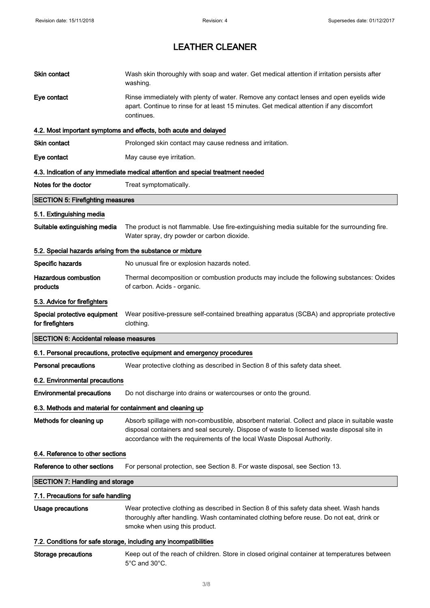| Skin contact                                               | Wash skin thoroughly with soap and water. Get medical attention if irritation persists after<br>washing.                                                                                                                                                               |  |
|------------------------------------------------------------|------------------------------------------------------------------------------------------------------------------------------------------------------------------------------------------------------------------------------------------------------------------------|--|
| Eye contact                                                | Rinse immediately with plenty of water. Remove any contact lenses and open eyelids wide<br>apart. Continue to rinse for at least 15 minutes. Get medical attention if any discomfort<br>continues.                                                                     |  |
|                                                            | 4.2. Most important symptoms and effects, both acute and delayed                                                                                                                                                                                                       |  |
| <b>Skin contact</b>                                        | Prolonged skin contact may cause redness and irritation.                                                                                                                                                                                                               |  |
| Eye contact                                                | May cause eye irritation.                                                                                                                                                                                                                                              |  |
|                                                            | 4.3. Indication of any immediate medical attention and special treatment needed                                                                                                                                                                                        |  |
| Notes for the doctor                                       | Treat symptomatically.                                                                                                                                                                                                                                                 |  |
| <b>SECTION 5: Firefighting measures</b>                    |                                                                                                                                                                                                                                                                        |  |
| 5.1. Extinguishing media                                   |                                                                                                                                                                                                                                                                        |  |
| Suitable extinguishing media                               | The product is not flammable. Use fire-extinguishing media suitable for the surrounding fire.<br>Water spray, dry powder or carbon dioxide.                                                                                                                            |  |
| 5.2. Special hazards arising from the substance or mixture |                                                                                                                                                                                                                                                                        |  |
| Specific hazards                                           | No unusual fire or explosion hazards noted.                                                                                                                                                                                                                            |  |
| <b>Hazardous combustion</b><br>products                    | Thermal decomposition or combustion products may include the following substances: Oxides<br>of carbon. Acids - organic.                                                                                                                                               |  |
| 5.3. Advice for firefighters                               |                                                                                                                                                                                                                                                                        |  |
| Special protective equipment<br>for firefighters           | Wear positive-pressure self-contained breathing apparatus (SCBA) and appropriate protective<br>clothing.                                                                                                                                                               |  |
| <b>SECTION 6: Accidental release measures</b>              |                                                                                                                                                                                                                                                                        |  |
|                                                            | 6.1. Personal precautions, protective equipment and emergency procedures                                                                                                                                                                                               |  |
| <b>Personal precautions</b>                                | Wear protective clothing as described in Section 8 of this safety data sheet.                                                                                                                                                                                          |  |
|                                                            |                                                                                                                                                                                                                                                                        |  |
| 6.2. Environmental precautions                             |                                                                                                                                                                                                                                                                        |  |
| <b>Environmental precautions</b>                           | Do not discharge into drains or watercourses or onto the ground.                                                                                                                                                                                                       |  |
| 6.3. Methods and material for containment and cleaning up  |                                                                                                                                                                                                                                                                        |  |
| Methods for cleaning up                                    | Absorb spillage with non-combustible, absorbent material. Collect and place in suitable waste<br>disposal containers and seal securely. Dispose of waste to licensed waste disposal site in<br>accordance with the requirements of the local Waste Disposal Authority. |  |
| 6.4. Reference to other sections                           |                                                                                                                                                                                                                                                                        |  |
| Reference to other sections                                | For personal protection, see Section 8. For waste disposal, see Section 13.                                                                                                                                                                                            |  |
| <b>SECTION 7: Handling and storage</b>                     |                                                                                                                                                                                                                                                                        |  |
| 7.1. Precautions for safe handling                         |                                                                                                                                                                                                                                                                        |  |
| Usage precautions                                          | Wear protective clothing as described in Section 8 of this safety data sheet. Wash hands<br>thoroughly after handling. Wash contaminated clothing before reuse. Do not eat, drink or<br>smoke when using this product.                                                 |  |
|                                                            | 7.2. Conditions for safe storage, including any incompatibilities                                                                                                                                                                                                      |  |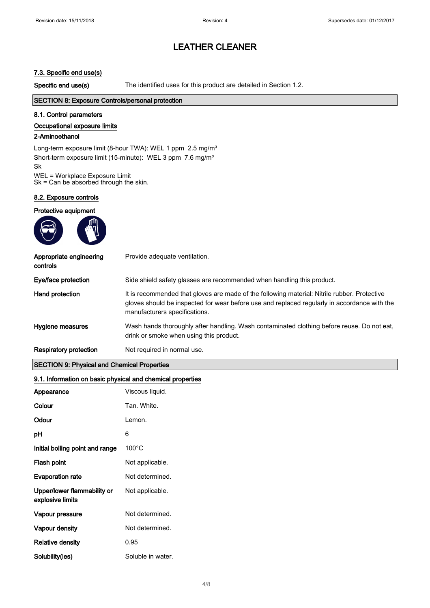### 7.3. Specific end use(s)

Specific end use(s) The identified uses for this product are detailed in Section 1.2.

#### SECTION 8: Exposure Controls/personal protection

#### 8.1. Control parameters

#### Occupational exposure limits

#### 2-Aminoethanol

Long-term exposure limit (8-hour TWA): WEL 1 ppm 2.5 mg/m<sup>3</sup> Short-term exposure limit (15-minute): WEL 3 ppm 7.6 mg/m<sup>3</sup> Sk WEL = Workplace Exposure Limit Sk = Can be absorbed through the skin.

8.2. Exposure controls

#### Protective equipment

| Appropriate engineering<br>controls | Provide adequate ventilation.                                                                                                                                                                                                 |
|-------------------------------------|-------------------------------------------------------------------------------------------------------------------------------------------------------------------------------------------------------------------------------|
| Eye/face protection                 | Side shield safety glasses are recommended when handling this product.                                                                                                                                                        |
| Hand protection                     | It is recommended that gloves are made of the following material: Nitrile rubber. Protective<br>gloves should be inspected for wear before use and replaced regularly in accordance with the<br>manufacturers specifications. |
| Hygiene measures                    | Wash hands thoroughly after handling. Wash contaminated clothing before reuse. Do not eat,<br>drink or smoke when using this product.                                                                                         |
| Respiratory protection              | Not required in normal use.                                                                                                                                                                                                   |

#### SECTION 9: Physical and Chemical Properties

#### 9.1. Information on basic physical and chemical properties

| Appearance                                      | Viscous liquid.   |
|-------------------------------------------------|-------------------|
| Colour                                          | Tan, White.       |
| Odour                                           | Lemon.            |
| рH                                              | 6                 |
| Initial boiling point and range                 | $100^{\circ}$ C   |
| <b>Flash point</b>                              | Not applicable.   |
| <b>Evaporation rate</b>                         | Not determined.   |
| Upper/lower flammability or<br>explosive limits | Not applicable.   |
| Vapour pressure                                 | Not determined.   |
| <b>Vapour density</b>                           | Not determined.   |
| <b>Relative density</b>                         | 0.95              |
| Solubility(ies)                                 | Soluble in water. |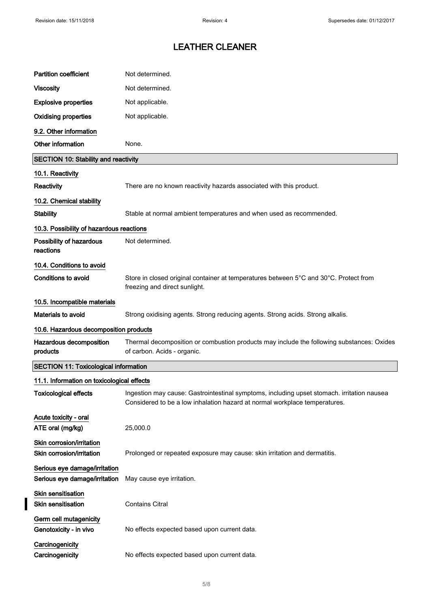$\overline{\mathbf{I}}$ 

# LEATHER CLEANER

| <b>Partition coefficient</b>                                   | Not determined.                                                                                                                                                          |  |
|----------------------------------------------------------------|--------------------------------------------------------------------------------------------------------------------------------------------------------------------------|--|
| <b>Viscosity</b>                                               | Not determined.                                                                                                                                                          |  |
| <b>Explosive properties</b>                                    | Not applicable.                                                                                                                                                          |  |
| <b>Oxidising properties</b>                                    | Not applicable.                                                                                                                                                          |  |
| 9.2. Other information                                         |                                                                                                                                                                          |  |
| Other information                                              | None.                                                                                                                                                                    |  |
| <b>SECTION 10: Stability and reactivity</b>                    |                                                                                                                                                                          |  |
| 10.1. Reactivity                                               |                                                                                                                                                                          |  |
| Reactivity                                                     | There are no known reactivity hazards associated with this product.                                                                                                      |  |
| 10.2. Chemical stability                                       |                                                                                                                                                                          |  |
| <b>Stability</b>                                               | Stable at normal ambient temperatures and when used as recommended.                                                                                                      |  |
| 10.3. Possibility of hazardous reactions                       |                                                                                                                                                                          |  |
| Possibility of hazardous<br>reactions                          | Not determined.                                                                                                                                                          |  |
| 10.4. Conditions to avoid                                      |                                                                                                                                                                          |  |
| <b>Conditions to avoid</b>                                     | Store in closed original container at temperatures between 5°C and 30°C. Protect from<br>freezing and direct sunlight.                                                   |  |
| 10.5. Incompatible materials                                   |                                                                                                                                                                          |  |
| <b>Materials to avoid</b>                                      | Strong oxidising agents. Strong reducing agents. Strong acids. Strong alkalis.                                                                                           |  |
| 10.6. Hazardous decomposition products                         |                                                                                                                                                                          |  |
| Hazardous decomposition<br>products                            | Thermal decomposition or combustion products may include the following substances: Oxides<br>of carbon. Acids - organic.                                                 |  |
| <b>SECTION 11: Toxicological information</b>                   |                                                                                                                                                                          |  |
| 11.1. Information on toxicological effects                     |                                                                                                                                                                          |  |
| Toxicological effects                                          | Ingestion may cause: Gastrointestinal symptoms, including upset stomach. irritation nausea<br>Considered to be a low inhalation hazard at normal workplace temperatures. |  |
| Acute toxicity - oral<br>ATE oral (mg/kg)                      | 25,000.0                                                                                                                                                                 |  |
| Skin corrosion/irritation<br>Skin corrosion/irritation         | Prolonged or repeated exposure may cause: skin irritation and dermatitis.                                                                                                |  |
| Serious eye damage/irritation<br>Serious eye damage/irritation | May cause eye irritation.                                                                                                                                                |  |
| Skin sensitisation<br><b>Skin sensitisation</b>                | <b>Contains Citral</b>                                                                                                                                                   |  |
| Germ cell mutagenicity<br>Genotoxicity - in vivo               | No effects expected based upon current data.                                                                                                                             |  |
| Carcinogenicity<br>Carcinogenicity                             | No effects expected based upon current data.                                                                                                                             |  |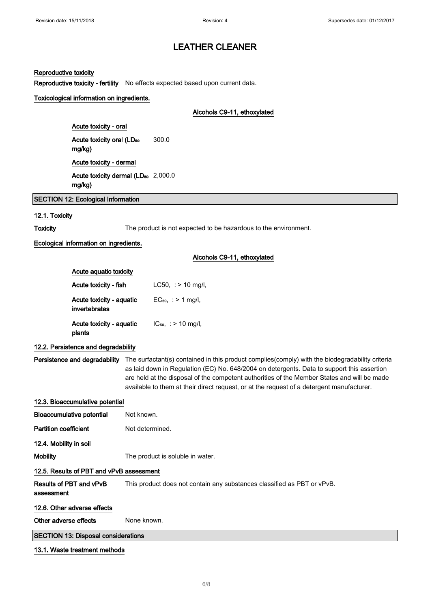#### Reproductive toxicity

Reproductive toxicity - fertility No effects expected based upon current data.

#### Toxicological information on ingredients.

#### Alcohols C9-11, ethoxylated

Acute toxicity - oral Acute toxicity oral (LD<sub>50</sub> mg/kg) 300.0 Acute toxicity - dermal Acute toxicity dermal (LD<sub>50</sub> 2,000.0 mg/kg)

SECTION 12: Ecological Information

#### 12.1. Toxicity

Toxicity The product is not expected to be hazardous to the environment.

#### Ecological information on ingredients.

|                                           | Alcohols C9-11, ethoxylated |
|-------------------------------------------|-----------------------------|
| Acute aquatic toxicity                    |                             |
| Acute toxicity - fish                     | $LC50.$ : $> 10$ mg/l,      |
| Acute toxicity - aquatic<br>invertebrates | $EC_{50}$ , : > 1 mg/l,     |
| Acute toxicity - aquatic                  | $IC_{50}$ , : > 10 mg/l,    |

#### 12.2. Persistence and degradability

plants

Persistence and degradability The surfactant(s) contained in this product complies(comply) with the biodegradability criteria as laid down in Regulation (EC) No. 648/2004 on detergents. Data to support this assertion are held at the disposal of the competent authorities of the Member States and will be made available to them at their direct request, or at the request of a detergent manufacturer.

## 12.3. Bioaccumulative potential

| Bioaccumulative potential                  | Not known.                                                              |  |
|--------------------------------------------|-------------------------------------------------------------------------|--|
| <b>Partition coefficient</b>               | Not determined.                                                         |  |
| 12.4. Mobility in soil                     |                                                                         |  |
| Mobility                                   | The product is soluble in water.                                        |  |
| 12.5. Results of PBT and vPvB assessment   |                                                                         |  |
| Results of PBT and vPvB<br>assessment      | This product does not contain any substances classified as PBT or vPvB. |  |
| 12.6. Other adverse effects                |                                                                         |  |
| Other adverse effects                      | None known.                                                             |  |
| <b>SECTION 13: Disposal considerations</b> |                                                                         |  |

#### 13.1. Waste treatment methods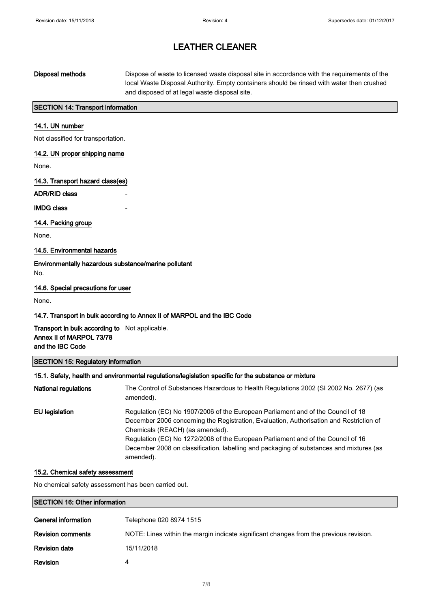## Disposal methods Dispose of waste to licensed waste disposal site in accordance with the requirements of the local Waste Disposal Authority. Empty containers should be rinsed with water then crushed and disposed of at legal waste disposal site.

### SECTION 14: Transport information

#### 14.1. UN number

Not classified for transportation.

#### 14.2. UN proper shipping name

None.

#### 14.3. Transport hazard class(es)

ADR/RID class

#### **IMDG class**

14.4. Packing group

None.

### 14.5. Environmental hazards

Environmentally hazardous substance/marine pollutant No.

#### 14.6. Special precautions for user

None.

#### 14.7. Transport in bulk according to Annex II of MARPOL and the IBC Code

### Transport in bulk according to Not applicable. Annex II of MARPOL 73/78 and the IBC Code

#### SECTION 15: Regulatory information

#### 15.1. Safety, health and environmental regulations/legislation specific for the substance or mixture

| <b>National regulations</b> | The Control of Substances Hazardous to Health Regulations 2002 (SI 2002 No. 2677) (as<br>amended).                                                                                                                                                                                                                                                                                                         |
|-----------------------------|------------------------------------------------------------------------------------------------------------------------------------------------------------------------------------------------------------------------------------------------------------------------------------------------------------------------------------------------------------------------------------------------------------|
| EU legislation              | Regulation (EC) No 1907/2006 of the European Parliament and of the Council of 18<br>December 2006 concerning the Registration, Evaluation, Authorisation and Restriction of<br>Chemicals (REACH) (as amended).<br>Regulation (EC) No 1272/2008 of the European Parliament and of the Council of 16<br>December 2008 on classification, labelling and packaging of substances and mixtures (as<br>amended). |

#### 15.2. Chemical safety assessment

No chemical safety assessment has been carried out.

#### SECTION 16: Other information

| General information      | Telephone 020 8974 1515                                                                |
|--------------------------|----------------------------------------------------------------------------------------|
| <b>Revision comments</b> | NOTE: Lines within the margin indicate significant changes from the previous revision. |
| <b>Revision date</b>     | 15/11/2018                                                                             |
| <b>Revision</b>          | 4                                                                                      |